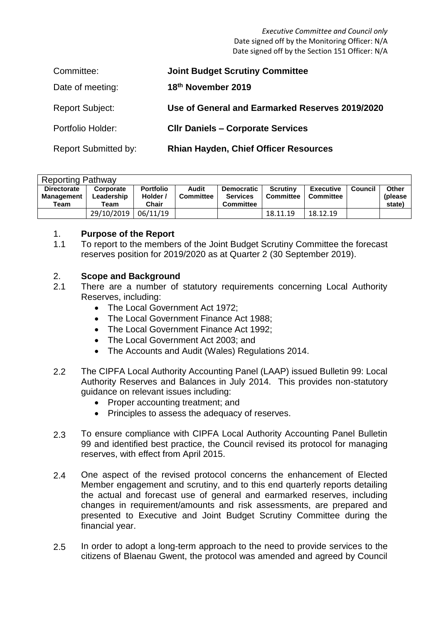*Executive Committee and Council only* Date signed off by the Monitoring Officer: N/A Date signed off by the Section 151 Officer: N/A

| Committee:                  | <b>Joint Budget Scrutiny Committee</b>          |
|-----------------------------|-------------------------------------------------|
| Date of meeting:            | 18th November 2019                              |
| <b>Report Subject:</b>      | Use of General and Earmarked Reserves 2019/2020 |
| Portfolio Holder:           | <b>CIIr Daniels - Corporate Services</b>        |
| <b>Report Submitted by:</b> | <b>Rhian Hayden, Chief Officer Resources</b>    |

| <b>Reporting Pathway</b> |            |                  |                  |                  |                  |                  |         |          |
|--------------------------|------------|------------------|------------------|------------------|------------------|------------------|---------|----------|
| <b>Directorate</b>       | Corporate  | <b>Portfolio</b> | Audit            | Democratic       | <b>Scrutiny</b>  | <b>Executive</b> | Council | Other    |
| <b>Management</b>        | Leadership | Holder /         | <b>Committee</b> | <b>Services</b>  | <b>Committee</b> | <b>Committee</b> |         | (please) |
| Team                     | Team       | Chair            |                  | <b>Committee</b> |                  |                  |         | state)   |
|                          | 29/10/2019 | 06/11/19         |                  |                  | 18.11.19         | 18.12.19         |         |          |

# 1. **Purpose of the Report**

1.1 To report to the members of the Joint Budget Scrutiny Committee the forecast reserves position for 2019/2020 as at Quarter 2 (30 September 2019).

# 2. **Scope and Background**

- 2.1 There are a number of statutory requirements concerning Local Authority Reserves, including:
	- The Local Government Act 1972;
	- The Local Government Finance Act 1988;
	- The Local Government Finance Act 1992;
	- The Local Government Act 2003; and
	- The Accounts and Audit (Wales) Regulations 2014.
- 2.2 The CIPFA Local Authority Accounting Panel (LAAP) issued Bulletin 99: Local Authority Reserves and Balances in July 2014. This provides non-statutory guidance on relevant issues including:
	- Proper accounting treatment: and
	- Principles to assess the adequacy of reserves.
- 2.3 To ensure compliance with CIPFA Local Authority Accounting Panel Bulletin 99 and identified best practice, the Council revised its protocol for managing reserves, with effect from April 2015.
- 2.4 One aspect of the revised protocol concerns the enhancement of Elected Member engagement and scrutiny, and to this end quarterly reports detailing the actual and forecast use of general and earmarked reserves, including changes in requirement/amounts and risk assessments, are prepared and presented to Executive and Joint Budget Scrutiny Committee during the financial year.
- 2.5 In order to adopt a long-term approach to the need to provide services to the citizens of Blaenau Gwent, the protocol was amended and agreed by Council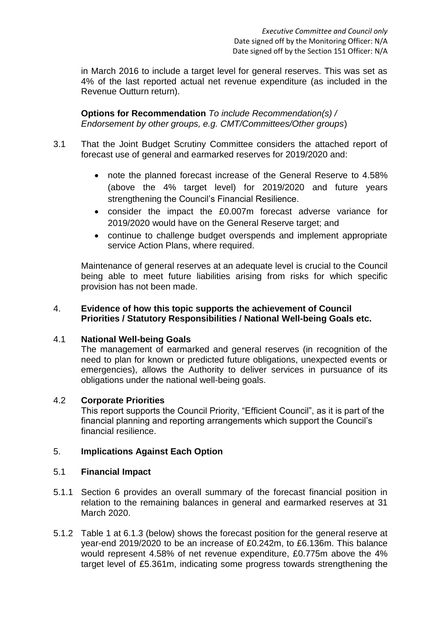in March 2016 to include a target level for general reserves. This was set as 4% of the last reported actual net revenue expenditure (as included in the Revenue Outturn return).

**Options for Recommendation** *To include Recommendation(s) / Endorsement by other groups, e.g. CMT/Committees/Other groups*)

- 3.1 That the Joint Budget Scrutiny Committee considers the attached report of forecast use of general and earmarked reserves for 2019/2020 and:
	- note the planned forecast increase of the General Reserve to 4.58% (above the 4% target level) for 2019/2020 and future years strengthening the Council's Financial Resilience.
	- consider the impact the £0.007m forecast adverse variance for 2019/2020 would have on the General Reserve target; and
	- continue to challenge budget overspends and implement appropriate service Action Plans, where required.

Maintenance of general reserves at an adequate level is crucial to the Council being able to meet future liabilities arising from risks for which specific provision has not been made.

# 4. **Evidence of how this topic supports the achievement of Council Priorities / Statutory Responsibilities / National Well-being Goals etc.**

# 4.1 **National Well-being Goals**

The management of earmarked and general reserves (in recognition of the need to plan for known or predicted future obligations, unexpected events or emergencies), allows the Authority to deliver services in pursuance of its obligations under the national well-being goals.

# 4.2 **Corporate Priorities**

This report supports the Council Priority, "Efficient Council", as it is part of the financial planning and reporting arrangements which support the Council's financial resilience.

# 5. **Implications Against Each Option**

# 5.1 **Financial Impact**

- 5.1.1 Section 6 provides an overall summary of the forecast financial position in relation to the remaining balances in general and earmarked reserves at 31 March 2020.
- 5.1.2 Table 1 at 6.1.3 (below) shows the forecast position for the general reserve at year-end 2019/2020 to be an increase of £0.242m, to £6.136m. This balance would represent 4.58% of net revenue expenditure, £0.775m above the 4% target level of £5.361m, indicating some progress towards strengthening the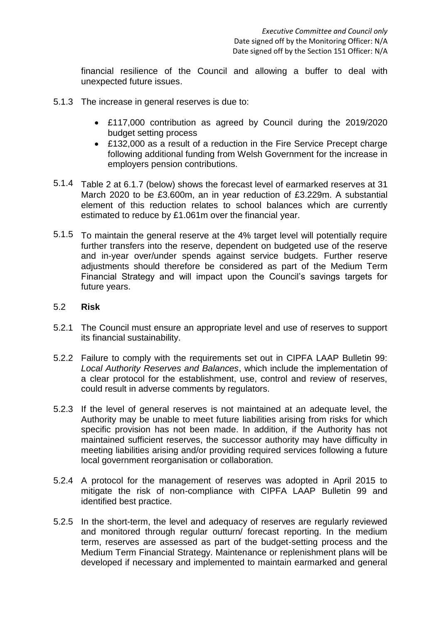financial resilience of the Council and allowing a buffer to deal with unexpected future issues.

- 5.1.3 The increase in general reserves is due to:
	- £117,000 contribution as agreed by Council during the 2019/2020 budget setting process
	- £132,000 as a result of a reduction in the Fire Service Precept charge following additional funding from Welsh Government for the increase in employers pension contributions.
- 5.1.4 Table 2 at 6.1.7 (below) shows the forecast level of earmarked reserves at 31 March 2020 to be £3.600m, an in year reduction of £3.229m. A substantial element of this reduction relates to school balances which are currently estimated to reduce by £1.061m over the financial year.
- 5.1.5 To maintain the general reserve at the 4% target level will potentially require further transfers into the reserve, dependent on budgeted use of the reserve and in-year over/under spends against service budgets. Further reserve adjustments should therefore be considered as part of the Medium Term Financial Strategy and will impact upon the Council's savings targets for future years.

#### 5.2 **Risk**

- 5.2.1 The Council must ensure an appropriate level and use of reserves to support its financial sustainability.
- 5.2.2 Failure to comply with the requirements set out in CIPFA LAAP Bulletin 99: *Local Authority Reserves and Balances*, which include the implementation of a clear protocol for the establishment, use, control and review of reserves, could result in adverse comments by regulators.
- 5.2.3 If the level of general reserves is not maintained at an adequate level, the Authority may be unable to meet future liabilities arising from risks for which specific provision has not been made. In addition, if the Authority has not maintained sufficient reserves, the successor authority may have difficulty in meeting liabilities arising and/or providing required services following a future local government reorganisation or collaboration.
- 5.2.4 A protocol for the management of reserves was adopted in April 2015 to mitigate the risk of non-compliance with CIPFA LAAP Bulletin 99 and identified best practice.
- 5.2.5 In the short-term, the level and adequacy of reserves are regularly reviewed and monitored through regular outturn/ forecast reporting. In the medium term, reserves are assessed as part of the budget-setting process and the Medium Term Financial Strategy. Maintenance or replenishment plans will be developed if necessary and implemented to maintain earmarked and general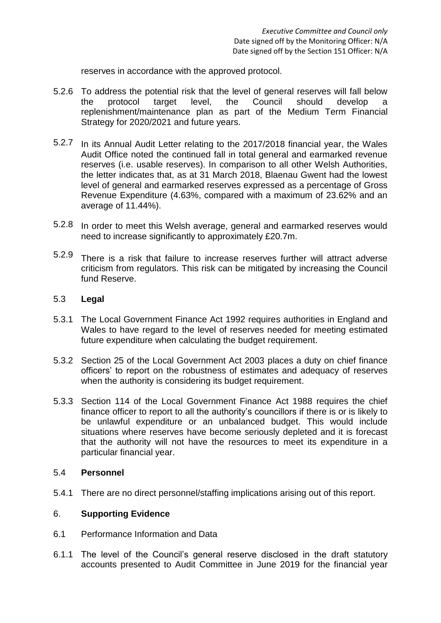reserves in accordance with the approved protocol.

- 5.2.6 To address the potential risk that the level of general reserves will fall below the protocol target level, the Council should develop a replenishment/maintenance plan as part of the Medium Term Financial Strategy for 2020/2021 and future years.
- 5.2.7 In its Annual Audit Letter relating to the 2017/2018 financial year, the Wales Audit Office noted the continued fall in total general and earmarked revenue reserves (i.e. usable reserves). In comparison to all other Welsh Authorities, the letter indicates that, as at 31 March 2018, Blaenau Gwent had the lowest level of general and earmarked reserves expressed as a percentage of Gross Revenue Expenditure (4.63%, compared with a maximum of 23.62% and an average of 11.44%).
- 5.2.8 In order to meet this Welsh average, general and earmarked reserves would need to increase significantly to approximately £20.7m.
- 5.2.9 There is a risk that failure to increase reserves further will attract adverse criticism from regulators. This risk can be mitigated by increasing the Council fund Reserve.

# 5.3 **Legal**

- 5.3.1 The Local Government Finance Act 1992 requires authorities in England and Wales to have regard to the level of reserves needed for meeting estimated future expenditure when calculating the budget requirement.
- 5.3.2 Section 25 of the Local Government Act 2003 places a duty on chief finance officers' to report on the robustness of estimates and adequacy of reserves when the authority is considering its budget requirement.
- 5.3.3 Section 114 of the Local Government Finance Act 1988 requires the chief finance officer to report to all the authority's councillors if there is or is likely to be unlawful expenditure or an unbalanced budget. This would include situations where reserves have become seriously depleted and it is forecast that the authority will not have the resources to meet its expenditure in a particular financial year.

#### 5.4 **Personnel**

5.4.1 There are no direct personnel/staffing implications arising out of this report.

# 6. **Supporting Evidence**

- 6.1 Performance Information and Data
- 6.1.1 The level of the Council's general reserve disclosed in the draft statutory accounts presented to Audit Committee in June 2019 for the financial year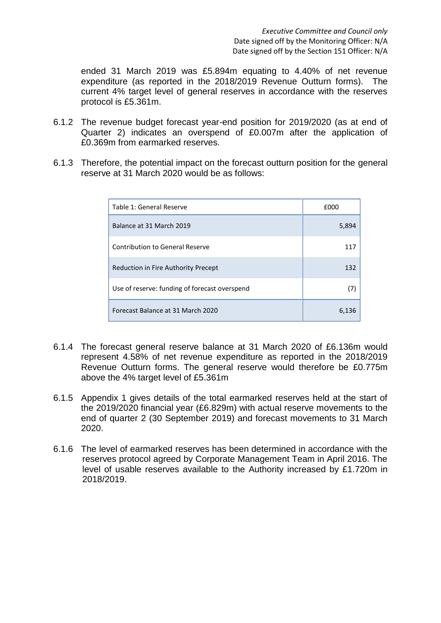ended 31 March 2019 was £5.894m equating to 4.40% of net revenue expenditure (as reported in the 2018/2019 Revenue Outturn forms). The current 4% target level of general reserves in accordance with the reserves protocol is £5.361m.

- 6.1.2 The revenue budget forecast year-end position for 2019/2020 (as at end of Quarter 2) indicates an overspend of £0.007m after the application of £0.369m from earmarked reserves.
- 6.1.3 Therefore, the potential impact on the forecast outturn position for the general reserve at 31 March 2020 would be as follows:

| Table 1: General Reserve                      | f000  |  |
|-----------------------------------------------|-------|--|
| Balance at 31 March 2019                      | 5,894 |  |
| Contribution to General Reserve               | 117   |  |
| Reduction in Fire Authority Precept           | 132   |  |
| Use of reserve: funding of forecast overspend | (7)   |  |
| Forecast Balance at 31 March 2020             | 6,136 |  |

- 6.1.4 The forecast general reserve balance at 31 March 2020 of £6.136m would represent 4.58% of net revenue expenditure as reported in the 2018/2019 Revenue Outturn forms. The general reserve would therefore be £0.775m above the 4% target level of £5.361m
- 6.1.5 Appendix 1 gives details of the total earmarked reserves held at the start of the 2019/2020 financial year (£6.829m) with actual reserve movements to the end of quarter 2 (30 September 2019) and forecast movements to 31 March 2020.
- 6.1.6 The level of earmarked reserves has been determined in accordance with the reserves protocol agreed by Corporate Management Team in April 2016. The level of usable reserves available to the Authority increased by £1.720m in 2018/2019.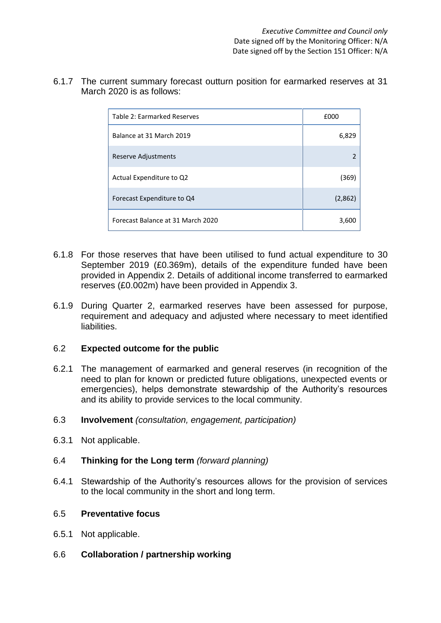6.1.7 The current summary forecast outturn position for earmarked reserves at 31 March 2020 is as follows:

| Table 2: Earmarked Reserves       | £000          |  |
|-----------------------------------|---------------|--|
| Balance at 31 March 2019          | 6,829         |  |
| Reserve Adjustments               | $\mathcal{P}$ |  |
| Actual Expenditure to Q2          | (369)         |  |
| Forecast Expenditure to Q4        | (2,862)       |  |
| Forecast Balance at 31 March 2020 | 3,600         |  |

- 6.1.8 For those reserves that have been utilised to fund actual expenditure to 30 September 2019 (£0.369m), details of the expenditure funded have been provided in Appendix 2. Details of additional income transferred to earmarked reserves (£0.002m) have been provided in Appendix 3.
- 6.1.9 During Quarter 2, earmarked reserves have been assessed for purpose, requirement and adequacy and adjusted where necessary to meet identified liabilities.

# 6.2 **Expected outcome for the public**

- 6.2.1 The management of earmarked and general reserves (in recognition of the need to plan for known or predicted future obligations, unexpected events or emergencies), helps demonstrate stewardship of the Authority's resources and its ability to provide services to the local community.
- 6.3 **Involvement** *(consultation, engagement, participation)*
- 6.3.1 Not applicable.

# 6.4 **Thinking for the Long term** *(forward planning)*

6.4.1 Stewardship of the Authority's resources allows for the provision of services to the local community in the short and long term.

#### 6.5 **Preventative focus**

- 6.5.1 Not applicable.
- 6.6 **Collaboration / partnership working**